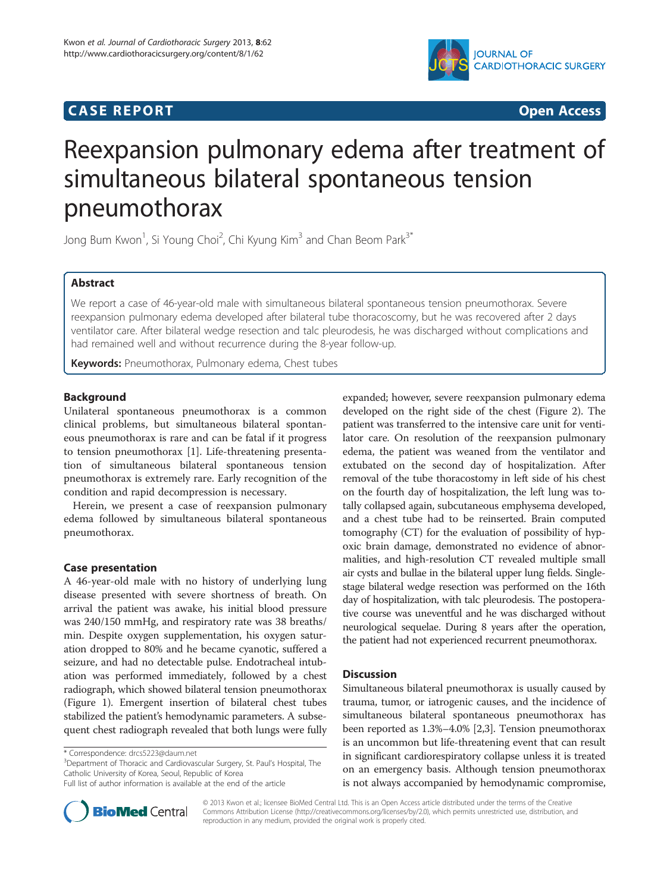## **CASE REPORT CASE REPORT CASE REPORT**



# Reexpansion pulmonary edema after treatment of simultaneous bilateral spontaneous tension pneumothorax

Jong Bum Kwon<sup>1</sup>, Si Young Choi<sup>2</sup>, Chi Kyung Kim<sup>3</sup> and Chan Beom Park<sup>3\*</sup>

## Abstract

We report a case of 46-year-old male with simultaneous bilateral spontaneous tension pneumothorax. Severe reexpansion pulmonary edema developed after bilateral tube thoracoscomy, but he was recovered after 2 days ventilator care. After bilateral wedge resection and talc pleurodesis, he was discharged without complications and had remained well and without recurrence during the 8-year follow-up.

Keywords: Pneumothorax, Pulmonary edema, Chest tubes

## Background

Unilateral spontaneous pneumothorax is a common clinical problems, but simultaneous bilateral spontaneous pneumothorax is rare and can be fatal if it progress to tension pneumothorax [\[1](#page-2-0)]. Life-threatening presentation of simultaneous bilateral spontaneous tension pneumothorax is extremely rare. Early recognition of the condition and rapid decompression is necessary.

Herein, we present a case of reexpansion pulmonary edema followed by simultaneous bilateral spontaneous pneumothorax.

## Case presentation

A 46-year-old male with no history of underlying lung disease presented with severe shortness of breath. On arrival the patient was awake, his initial blood pressure was 240/150 mmHg, and respiratory rate was 38 breaths/ min. Despite oxygen supplementation, his oxygen saturation dropped to 80% and he became cyanotic, suffered a seizure, and had no detectable pulse. Endotracheal intubation was performed immediately, followed by a chest radiograph, which showed bilateral tension pneumothorax (Figure [1](#page-1-0)). Emergent insertion of bilateral chest tubes stabilized the patient's hemodynamic parameters. A subsequent chest radiograph revealed that both lungs were fully

<sup>3</sup>Department of Thoracic and Cardiovascular Surgery, St. Paul's Hospital, The Catholic University of Korea, Seoul, Republic of Korea



## **Discussion**

Simultaneous bilateral pneumothorax is usually caused by trauma, tumor, or iatrogenic causes, and the incidence of simultaneous bilateral spontaneous pneumothorax has been reported as 1.3%–4.0% [[2,3\]](#page-2-0). Tension pneumothorax is an uncommon but life-threatening event that can result in significant cardiorespiratory collapse unless it is treated on an emergency basis. Although tension pneumothorax is not always accompanied by hemodynamic compromise,



© 2013 Kwon et al.; licensee BioMed Central Ltd. This is an Open Access article distributed under the terms of the Creative Commons Attribution License [\(http://creativecommons.org/licenses/by/2.0\)](http://creativecommons.org/licenses/by/2.0), which permits unrestricted use, distribution, and reproduction in any medium, provided the original work is properly cited.

<sup>\*</sup> Correspondence: [drcs5223@daum.net](mailto:drcs5223@daum.net) <sup>3</sup>

Full list of author information is available at the end of the article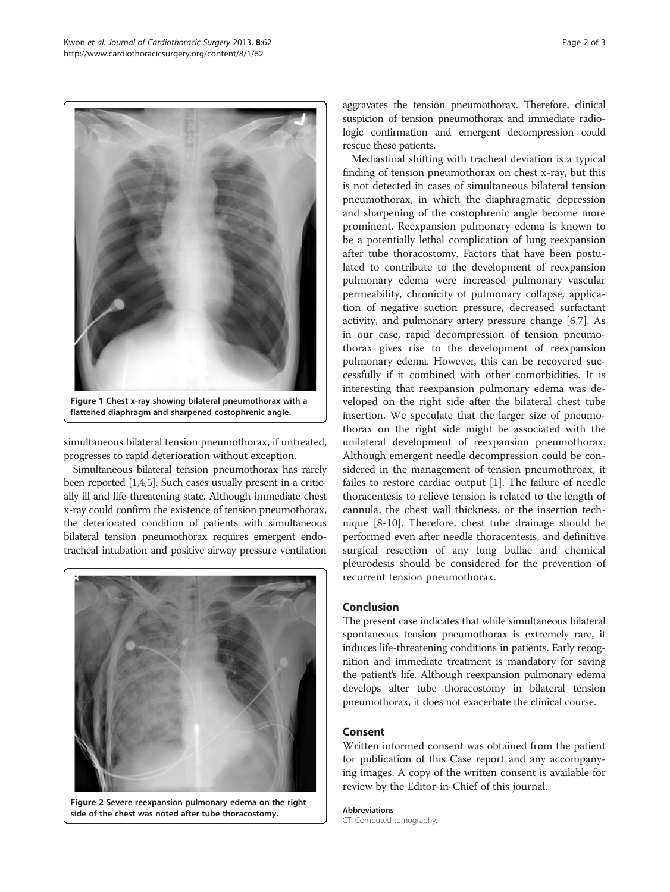<span id="page-1-0"></span>

simultaneous bilateral tension pneumothorax, if untreated, progresses to rapid deterioration without exception.

Simultaneous bilateral tension pneumothorax has rarely been reported [\[1,4,5](#page-2-0)]. Such cases usually present in a critically ill and life-threatening state. Although immediate chest x-ray could confirm the existence of tension pneumothorax, the deteriorated condition of patients with simultaneous bilateral tension pneumothorax requires emergent endotracheal intubation and positive airway pressure ventilation



Figure 2 Severe reexpansion pulmonary edema on the right side of the chest was noted after tube thoracostomy.

aggravates the tension pneumothorax. Therefore, clinical suspicion of tension pneumothorax and immediate radiologic confirmation and emergent decompression could rescue these patients.

Mediastinal shifting with tracheal deviation is a typical finding of tension pneumothorax on chest x-ray, but this is not detected in cases of simultaneous bilateral tension pneumothorax, in which the diaphragmatic depression and sharpening of the costophrenic angle become more prominent. Reexpansion pulmonary edema is known to be a potentially lethal complication of lung reexpansion after tube thoracostomy. Factors that have been postulated to contribute to the development of reexpansion pulmonary edema were increased pulmonary vascular permeability, chronicity of pulmonary collapse, application of negative suction pressure, decreased surfactant activity, and pulmonary artery pressure change [[6,7\]](#page-2-0). As in our case, rapid decompression of tension pneumothorax gives rise to the development of reexpansion pulmonary edema. However, this can be recovered successfully if it combined with other comorbidities. It is interesting that reexpansion pulmonary edema was developed on the right side after the bilateral chest tube insertion. We speculate that the larger size of pneumothorax on the right side might be associated with the unilateral development of reexpansion pneumothorax. Although emergent needle decompression could be considered in the management of tension pneumothroax, it failes to restore cardiac output [\[1](#page-2-0)]. The failure of needle thoracentesis to relieve tension is related to the length of cannula, the chest wall thickness, or the insertion technique [\[8](#page-2-0)-[10\]](#page-2-0). Therefore, chest tube drainage should be performed even after needle thoracentesis, and definitive surgical resection of any lung bullae and chemical pleurodesis should be considered for the prevention of recurrent tension pneumothorax.

## Conclusion

The present case indicates that while simultaneous bilateral spontaneous tension pneumothorax is extremely rare, it induces life-threatening conditions in patients. Early recognition and immediate treatment is mandatory for saving the patient's life. Although reexpansion pulmonary edema develops after tube thoracostomy in bilateral tension pneumothorax, it does not exacerbate the clinical course.

## Consent

Written informed consent was obtained from the patient for publication of this Case report and any accompanying images. A copy of the written consent is available for review by the Editor-in-Chief of this journal.

Abbreviations CT: Computed tomography.